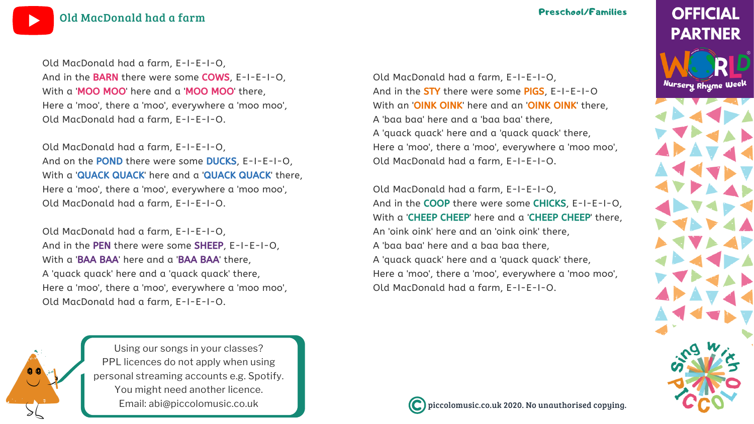piccolomusic.co.uk 2020. No unauthorised copying.

# **OFFICIAL PARTNER**

Nursery Rhyme Week



Using our songs in your [classes?](https://bit.ly/LicensingYOUTUBE) PPL licences do not apply when using personal [streaming](https://bit.ly/LicensingYOUTUBE) accounts e.g. Spotify. You might need [another](https://bit.ly/LicensingYOUTUBE) licence. Email: [abi@piccolomusic.co.uk](https://bit.ly/LicensingYOUTUBE)





## Preschool/Families

Old MacDonald had a farm, E-I-E-I-O, And in the **STY** there were some PIGS, E-I-E-I-O With an 'OINK OINK' here and an 'OINK OINK' there, A 'baa baa' here and a 'baa baa' there, A 'quack quack' here and a 'quack quack' there, Here a 'moo', there a 'moo', everywhere a 'moo moo', Old MacDonald had a farm, E-I-E-I-O.

Old MacDonald had a farm, E-I-E-I-O, And in the COOP there were some CHICKS, E-I-E-I-O, With a 'CHEEP CHEEP' here and a 'CHEEP CHEEP' there, An 'oink oink' here and an 'oink oink' there, A 'baa baa' here and a baa baa there, A 'quack quack' here and a 'quack quack' there, Here a 'moo', there a 'moo', everywhere a 'moo moo', Old MacDonald had a farm, E-I-E-I-O.



Old MacDonald had a farm, E-I-E-I-O, And in the BARN there were some COWS, E-I-E-I-O, With a 'MOO MOO' here and a 'MOO MOO' there, Here a 'moo', there a 'moo', everywhere a 'moo moo', Old MacDonald had a farm, E-I-E-I-O.

Old MacDonald had a farm, E-I-E-I-O, And on the POND there were some DUCKS, E-I-E-I-O, With a 'QUACK QUACK' here and a 'QUACK QUACK' there, Here a 'moo', there a 'moo', everywhere a 'moo moo', Old MacDonald had a farm, E-I-E-I-O.

Old MacDonald had a farm, E-I-E-I-O, And in the PEN there were some SHEEP, E-I-E-I-O, With a 'BAA BAA' here and a 'BAA BAA' there, A 'quack quack' here and a 'quack quack' there, Here a 'moo', there a 'moo', everywhere a 'moo moo', Old MacDonald had a farm, E-I-E-I-O.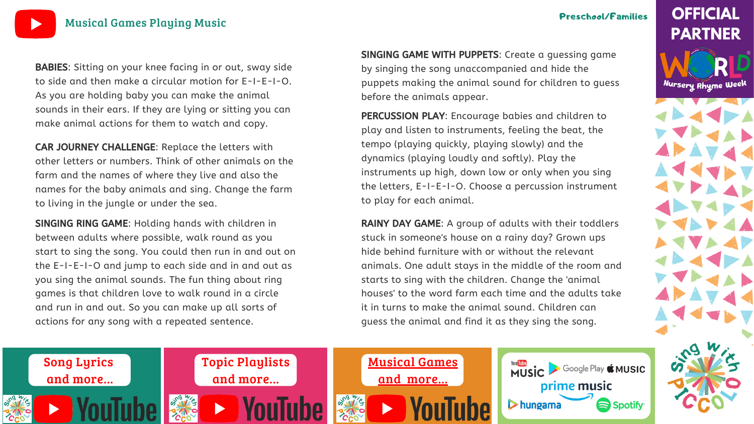

## Preschool/Families

Google Play & MUSIC

Spotify<sup>®</sup>

prime music



Nursery Rhyme Week





BABIES: Sitting on your knee facing in or out, sway side to side and then make a circular motion for E-I-E-I-O. As you are holding baby you can make the animal sounds in their ears. If they are lying or sitting you can make animal actions for them to watch and copy.

SINGING GAME WITH PUPPETS: Create a guessing game by singing the song unaccompanied and hide the puppets making the animal sound for children to guess before the animals appear.

SINGING RING GAME: Holding hands with children in between adults where possible, walk round as you start to sing the song. You could then run in and out on the E-I-E-I-O and jump to each side and in and out as you sing the animal sounds. The fun thing about ring games is that children love to walk round in a circle and run in and out. So you can make up all sorts of actions for any song with a repeated sentence.

RAINY DAY GAME: A group of adults with their toddlers stuck in someone's house on a rainy day? Grown ups hide behind furniture with or without the relevant animals. One adult stays in the middle of the room and starts to sing with the children. Change the 'animal houses' to the word farm each time and the adults take it in turns to make the animal sound. Children can guess the animal and find it as they sing the song.

**MUSIC** 

 $\triangleright$  hungama

PERCUSSION PLAY: Encourage babies and children to play and listen to instruments, feeling the beat, the tempo (playing quickly, playing slowly) and the dynamics (playing loudly and softly). Play the instruments up high, down low or only when you sing the letters, E-I-E-I-O. Choose a percussion instrument to play for each animal.

CAR JOURNEY CHALLENGE: Replace the letters with other letters or numbers. Think of other animals on the farm and the names of where they live and also the names for the baby animals and sing. Change the farm to living in the jungle or under the sea.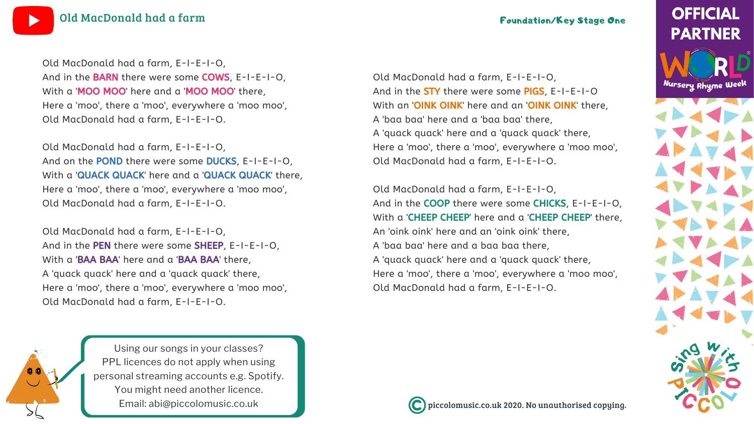piccolomusic.co.uk 2020. No unauthorised copying.

# **OFFICIAL PARTNER**

Nursery Rhyme Week



Using our songs in your [classes?](https://bit.ly/LicensingYOUTUBE) PPL licences do not apply when using personal [streaming](https://bit.ly/LicensingYOUTUBE) accounts e.g. Spotify. You might need [another](https://bit.ly/LicensingYOUTUBE) licence. Email: [abi@piccolomusic.co.uk](https://bit.ly/LicensingYOUTUBE)





Old MacDonald had a farm, E-I-E-I-O, And in the **STY** there were some PIGS, E-I-E-I-O With an 'OINK OINK' here and an 'OINK OINK' there, A 'baa baa' here and a 'baa baa' there, A 'quack quack' here and a 'quack quack' there, Here a 'moo', there a 'moo', everywhere a 'moo moo', Old MacDonald had a farm, E-I-E-I-O.

Old MacDonald had a farm, E-I-E-I-O, And in the COOP there were some CHICKS, E-I-E-I-O, With a 'CHEEP CHEEP' here and a 'CHEEP CHEEP' there, An 'oink oink' here and an 'oink oink' there, A 'baa baa' here and a baa baa there, A 'quack quack' here and a 'quack quack' there, Here a 'moo', there a 'moo', everywhere a 'moo moo', Old MacDonald had a farm, E-I-E-I-O.



Old MacDonald had a farm, E-I-E-I-O, And in the BARN there were some COWS, E-I-E-I-O, With a 'MOO MOO' here and a 'MOO MOO' there, Here a 'moo', there a 'moo', everywhere a 'moo moo', Old MacDonald had a farm, E-I-E-I-O.

Old MacDonald had a farm, E-I-E-I-O, And on the POND there were some DUCKS, E-I-E-I-O, With a 'QUACK QUACK' here and a 'QUACK QUACK' there, Here a 'moo', there a 'moo', everywhere a 'moo moo', Old MacDonald had a farm, E-I-E-I-O.

Old MacDonald had a farm, E-I-E-I-O, And in the PEN there were some SHEEP, E-I-E-I-O, With a 'BAA BAA' here and a 'BAA BAA' there, A 'quack quack' here and a 'quack quack' there, Here a 'moo', there a 'moo', everywhere a 'moo moo', Old MacDonald had a farm, E-I-E-I-O.